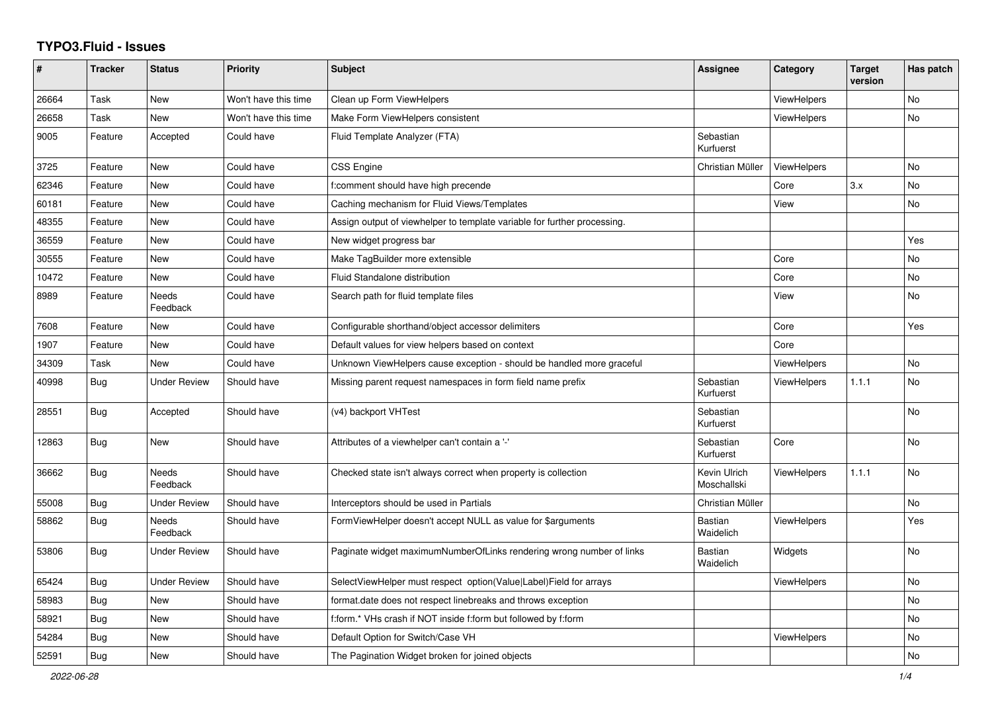## **TYPO3.Fluid - Issues**

| ∦     | <b>Tracker</b> | <b>Status</b>            | <b>Priority</b>      | Subject                                                                  | Assignee                    | Category           | <b>Target</b><br>version | Has patch |
|-------|----------------|--------------------------|----------------------|--------------------------------------------------------------------------|-----------------------------|--------------------|--------------------------|-----------|
| 26664 | Task           | New                      | Won't have this time | Clean up Form ViewHelpers                                                |                             | <b>ViewHelpers</b> |                          | <b>No</b> |
| 26658 | Task           | New                      | Won't have this time | Make Form ViewHelpers consistent                                         |                             | <b>ViewHelpers</b> |                          | <b>No</b> |
| 9005  | Feature        | Accepted                 | Could have           | Fluid Template Analyzer (FTA)                                            | Sebastian<br>Kurfuerst      |                    |                          |           |
| 3725  | Feature        | <b>New</b>               | Could have           | CSS Engine                                                               | Christian Müller            | ViewHelpers        |                          | <b>No</b> |
| 62346 | Feature        | New                      | Could have           | f:comment should have high precende                                      |                             | Core               | 3.x                      | No        |
| 60181 | Feature        | New                      | Could have           | Caching mechanism for Fluid Views/Templates                              |                             | View               |                          | No        |
| 48355 | Feature        | New                      | Could have           | Assign output of viewhelper to template variable for further processing. |                             |                    |                          |           |
| 36559 | Feature        | New                      | Could have           | New widget progress bar                                                  |                             |                    |                          | Yes       |
| 30555 | Feature        | New                      | Could have           | Make TagBuilder more extensible                                          |                             | Core               |                          | No        |
| 10472 | Feature        | New                      | Could have           | Fluid Standalone distribution                                            |                             | Core               |                          | No        |
| 8989  | Feature        | Needs<br>Feedback        | Could have           | Search path for fluid template files                                     |                             | View               |                          | <b>No</b> |
| 7608  | Feature        | <b>New</b>               | Could have           | Configurable shorthand/object accessor delimiters                        |                             | Core               |                          | Yes       |
| 1907  | Feature        | New                      | Could have           | Default values for view helpers based on context                         |                             | Core               |                          |           |
| 34309 | Task           | New                      | Could have           | Unknown ViewHelpers cause exception - should be handled more graceful    |                             | ViewHelpers        |                          | No        |
| 40998 | Bug            | <b>Under Review</b>      | Should have          | Missing parent request namespaces in form field name prefix              | Sebastian<br>Kurfuerst      | <b>ViewHelpers</b> | 1.1.1                    | <b>No</b> |
| 28551 | Bug            | Accepted                 | Should have          | (v4) backport VHTest                                                     | Sebastian<br>Kurfuerst      |                    |                          | No        |
| 12863 | Bug            | New                      | Should have          | Attributes of a viewhelper can't contain a '-'                           | Sebastian<br>Kurfuerst      | Core               |                          | No.       |
| 36662 | Bug            | <b>Needs</b><br>Feedback | Should have          | Checked state isn't always correct when property is collection           | Kevin Ulrich<br>Moschallski | <b>ViewHelpers</b> | 1.1.1                    | <b>No</b> |
| 55008 | Bug            | <b>Under Review</b>      | Should have          | Interceptors should be used in Partials                                  | Christian Müller            |                    |                          | <b>No</b> |
| 58862 | <b>Bug</b>     | <b>Needs</b><br>Feedback | Should have          | FormViewHelper doesn't accept NULL as value for \$arguments              | <b>Bastian</b><br>Waidelich | <b>ViewHelpers</b> |                          | Yes       |
| 53806 | Bug            | <b>Under Review</b>      | Should have          | Paginate widget maximumNumberOfLinks rendering wrong number of links     | Bastian<br>Waidelich        | Widgets            |                          | <b>No</b> |
| 65424 | Bug            | <b>Under Review</b>      | Should have          | SelectViewHelper must respect option(Value Label)Field for arrays        |                             | <b>ViewHelpers</b> |                          | <b>No</b> |
| 58983 | Bug            | New                      | Should have          | format.date does not respect linebreaks and throws exception             |                             |                    |                          | <b>No</b> |
| 58921 | Bug            | New                      | Should have          | f:form.* VHs crash if NOT inside f:form but followed by f:form           |                             |                    |                          | No        |
| 54284 | Bug            | New                      | Should have          | Default Option for Switch/Case VH                                        |                             | <b>ViewHelpers</b> |                          | <b>No</b> |
| 52591 | Bug            | <b>New</b>               | Should have          | The Pagination Widget broken for joined objects                          |                             |                    |                          | <b>No</b> |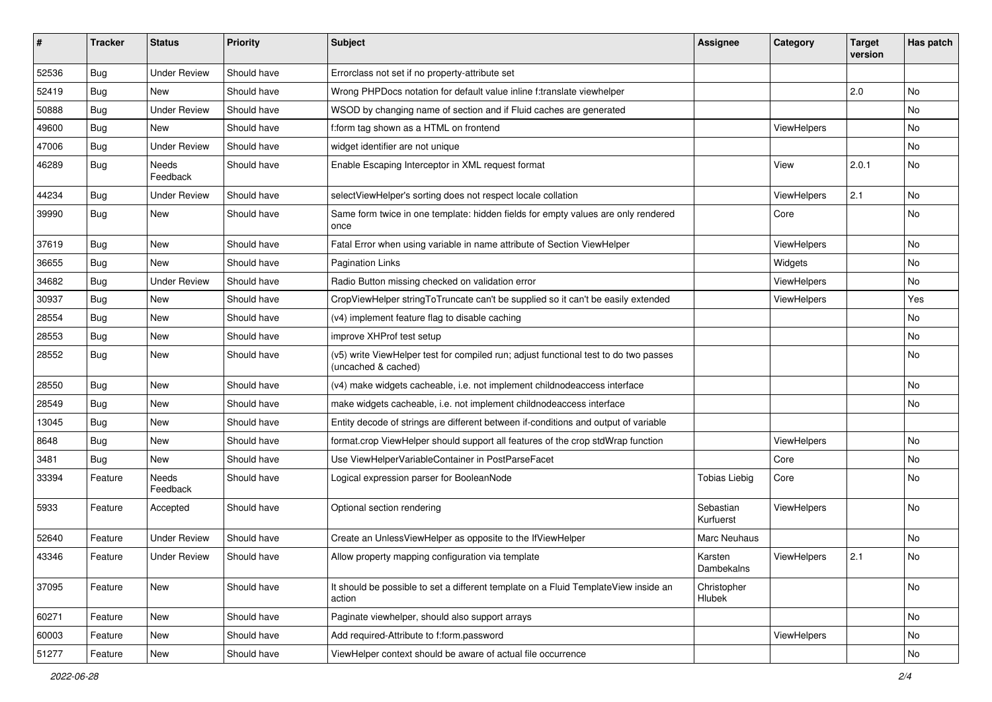| ∦     | <b>Tracker</b> | <b>Status</b>            | <b>Priority</b> | <b>Subject</b>                                                                                              | <b>Assignee</b>        | Category    | <b>Target</b><br>version | Has patch |
|-------|----------------|--------------------------|-----------------|-------------------------------------------------------------------------------------------------------------|------------------------|-------------|--------------------------|-----------|
| 52536 | Bug            | <b>Under Review</b>      | Should have     | Errorclass not set if no property-attribute set                                                             |                        |             |                          |           |
| 52419 | Bug            | New                      | Should have     | Wrong PHPDocs notation for default value inline f:translate viewhelper                                      |                        |             | 2.0                      | No.       |
| 50888 | Bug            | <b>Under Review</b>      | Should have     | WSOD by changing name of section and if Fluid caches are generated                                          |                        |             |                          | No        |
| 49600 | Bug            | New                      | Should have     | f:form tag shown as a HTML on frontend                                                                      |                        | ViewHelpers |                          | No        |
| 47006 | Bug            | <b>Under Review</b>      | Should have     | widget identifier are not unique                                                                            |                        |             |                          | No        |
| 46289 | Bug            | <b>Needs</b><br>Feedback | Should have     | Enable Escaping Interceptor in XML request format                                                           |                        | View        | 2.0.1                    | No        |
| 44234 | Bug            | <b>Under Review</b>      | Should have     | selectViewHelper's sorting does not respect locale collation                                                |                        | ViewHelpers | 2.1                      | <b>No</b> |
| 39990 | Bug            | New                      | Should have     | Same form twice in one template: hidden fields for empty values are only rendered<br>once                   |                        | Core        |                          | No        |
| 37619 | <b>Bug</b>     | New                      | Should have     | Fatal Error when using variable in name attribute of Section ViewHelper                                     |                        | ViewHelpers |                          | No        |
| 36655 | Bug            | New                      | Should have     | <b>Pagination Links</b>                                                                                     |                        | Widgets     |                          | No        |
| 34682 | Bug            | <b>Under Review</b>      | Should have     | Radio Button missing checked on validation error                                                            |                        | ViewHelpers |                          | No        |
| 30937 | Bug            | <b>New</b>               | Should have     | CropViewHelper stringToTruncate can't be supplied so it can't be easily extended                            |                        | ViewHelpers |                          | Yes       |
| 28554 | Bug            | New                      | Should have     | (v4) implement feature flag to disable caching                                                              |                        |             |                          | No        |
| 28553 | Bug            | New                      | Should have     | improve XHProf test setup                                                                                   |                        |             |                          | No        |
| 28552 | Bug            | New                      | Should have     | (v5) write ViewHelper test for compiled run; adjust functional test to do two passes<br>(uncached & cached) |                        |             |                          | No        |
| 28550 | Bug            | New                      | Should have     | (v4) make widgets cacheable, i.e. not implement childnodeaccess interface                                   |                        |             |                          | No        |
| 28549 | Bug            | New                      | Should have     | make widgets cacheable, i.e. not implement childnodeaccess interface                                        |                        |             |                          | No        |
| 13045 | <b>Bug</b>     | New                      | Should have     | Entity decode of strings are different between if-conditions and output of variable                         |                        |             |                          |           |
| 8648  | Bug            | New                      | Should have     | format.crop ViewHelper should support all features of the crop stdWrap function                             |                        | ViewHelpers |                          | No        |
| 3481  | Bug            | New                      | Should have     | Use ViewHelperVariableContainer in PostParseFacet                                                           |                        | Core        |                          | No        |
| 33394 | Feature        | Needs<br>Feedback        | Should have     | Logical expression parser for BooleanNode                                                                   | <b>Tobias Liebig</b>   | Core        |                          | No        |
| 5933  | Feature        | Accepted                 | Should have     | Optional section rendering                                                                                  | Sebastian<br>Kurfuerst | ViewHelpers |                          | No        |
| 52640 | Feature        | <b>Under Review</b>      | Should have     | Create an UnlessViewHelper as opposite to the IfViewHelper                                                  | <b>Marc Neuhaus</b>    |             |                          | No        |
| 43346 | Feature        | <b>Under Review</b>      | Should have     | Allow property mapping configuration via template                                                           | Karsten<br>Dambekalns  | ViewHelpers | 2.1                      | No        |
| 37095 | Feature        | New                      | Should have     | It should be possible to set a different template on a Fluid TemplateView inside an<br>action               | Christopher<br>Hlubek  |             |                          | No        |
| 60271 | Feature        | New                      | Should have     | Paginate viewhelper, should also support arrays                                                             |                        |             |                          | No        |
| 60003 | Feature        | New                      | Should have     | Add required-Attribute to f:form.password                                                                   |                        | ViewHelpers |                          | No        |
| 51277 | Feature        | New                      | Should have     | ViewHelper context should be aware of actual file occurrence                                                |                        |             |                          | No        |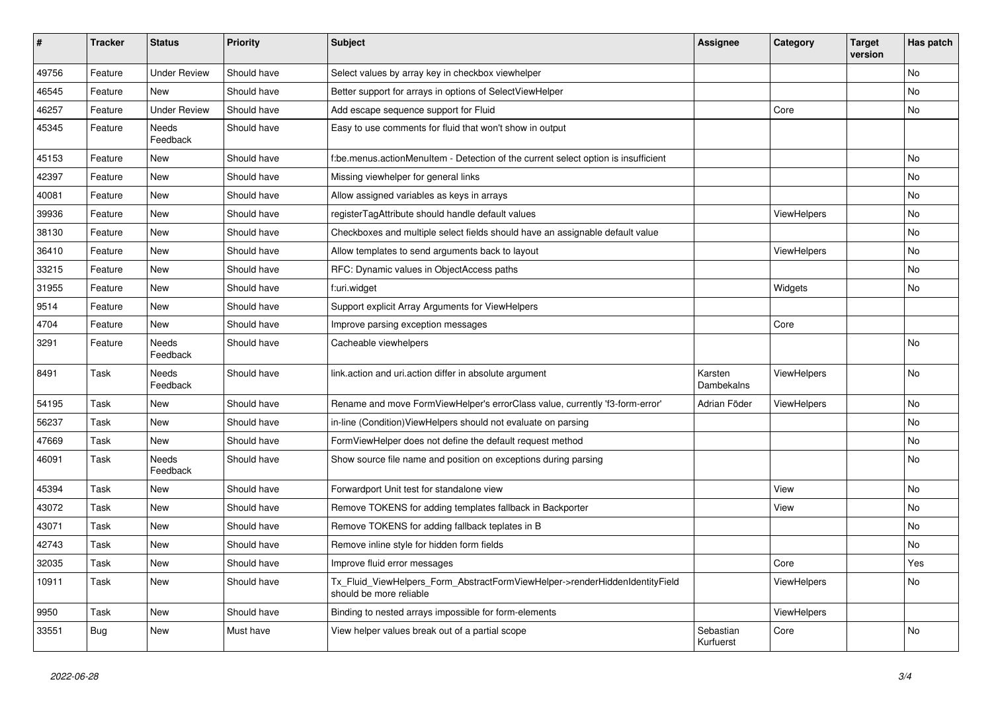| $\pmb{\sharp}$ | <b>Tracker</b> | <b>Status</b>            | <b>Priority</b> | <b>Subject</b>                                                                                         | Assignee               | Category           | Target<br>version | Has patch |
|----------------|----------------|--------------------------|-----------------|--------------------------------------------------------------------------------------------------------|------------------------|--------------------|-------------------|-----------|
| 49756          | Feature        | <b>Under Review</b>      | Should have     | Select values by array key in checkbox viewhelper                                                      |                        |                    |                   | No        |
| 46545          | Feature        | New                      | Should have     | Better support for arrays in options of SelectViewHelper                                               |                        |                    |                   | No        |
| 46257          | Feature        | <b>Under Review</b>      | Should have     | Add escape sequence support for Fluid                                                                  |                        | Core               |                   | No        |
| 45345          | Feature        | <b>Needs</b><br>Feedback | Should have     | Easy to use comments for fluid that won't show in output                                               |                        |                    |                   |           |
| 45153          | Feature        | New                      | Should have     | f:be.menus.actionMenuItem - Detection of the current select option is insufficient                     |                        |                    |                   | <b>No</b> |
| 42397          | Feature        | New                      | Should have     | Missing viewhelper for general links                                                                   |                        |                    |                   | No        |
| 40081          | Feature        | <b>New</b>               | Should have     | Allow assigned variables as keys in arrays                                                             |                        |                    |                   | No        |
| 39936          | Feature        | New                      | Should have     | registerTagAttribute should handle default values                                                      |                        | ViewHelpers        |                   | No        |
| 38130          | Feature        | New                      | Should have     | Checkboxes and multiple select fields should have an assignable default value                          |                        |                    |                   | No        |
| 36410          | Feature        | New                      | Should have     | Allow templates to send arguments back to layout                                                       |                        | ViewHelpers        |                   | <b>No</b> |
| 33215          | Feature        | New                      | Should have     | RFC: Dynamic values in ObjectAccess paths                                                              |                        |                    |                   | <b>No</b> |
| 31955          | Feature        | New                      | Should have     | f:uri.widget                                                                                           |                        | Widgets            |                   | No        |
| 9514           | Feature        | New                      | Should have     | Support explicit Array Arguments for ViewHelpers                                                       |                        |                    |                   |           |
| 4704           | Feature        | New                      | Should have     | Improve parsing exception messages                                                                     |                        | Core               |                   |           |
| 3291           | Feature        | <b>Needs</b><br>Feedback | Should have     | Cacheable viewhelpers                                                                                  |                        |                    |                   | <b>No</b> |
| 8491           | Task           | Needs<br>Feedback        | Should have     | link.action and uri.action differ in absolute argument                                                 | Karsten<br>Dambekalns  | ViewHelpers        |                   | No        |
| 54195          | Task           | New                      | Should have     | Rename and move FormViewHelper's errorClass value, currently 'f3-form-error'                           | Adrian Föder           | <b>ViewHelpers</b> |                   | <b>No</b> |
| 56237          | Task           | New                      | Should have     | in-line (Condition) View Helpers should not evaluate on parsing                                        |                        |                    |                   | No        |
| 47669          | Task           | New                      | Should have     | Form View Helper does not define the default request method                                            |                        |                    |                   | No        |
| 46091          | Task           | Needs<br>Feedback        | Should have     | Show source file name and position on exceptions during parsing                                        |                        |                    |                   | No        |
| 45394          | Task           | New                      | Should have     | Forwardport Unit test for standalone view                                                              |                        | View               |                   | No        |
| 43072          | Task           | New                      | Should have     | Remove TOKENS for adding templates fallback in Backporter                                              |                        | View               |                   | No        |
| 43071          | Task           | <b>New</b>               | Should have     | Remove TOKENS for adding fallback teplates in B                                                        |                        |                    |                   | <b>No</b> |
| 42743          | Task           | New                      | Should have     | Remove inline style for hidden form fields                                                             |                        |                    |                   | <b>No</b> |
| 32035          | Task           | <b>New</b>               | Should have     | Improve fluid error messages                                                                           |                        | Core               |                   | Yes       |
| 10911          | Task           | New                      | Should have     | Tx Fluid ViewHelpers Form AbstractFormViewHelper->renderHiddenIdentityField<br>should be more reliable |                        | <b>ViewHelpers</b> |                   | <b>No</b> |
| 9950           | Task           | New                      | Should have     | Binding to nested arrays impossible for form-elements                                                  |                        | ViewHelpers        |                   |           |
| 33551          | Bug            | <b>New</b>               | Must have       | View helper values break out of a partial scope                                                        | Sebastian<br>Kurfuerst | Core               |                   | <b>No</b> |